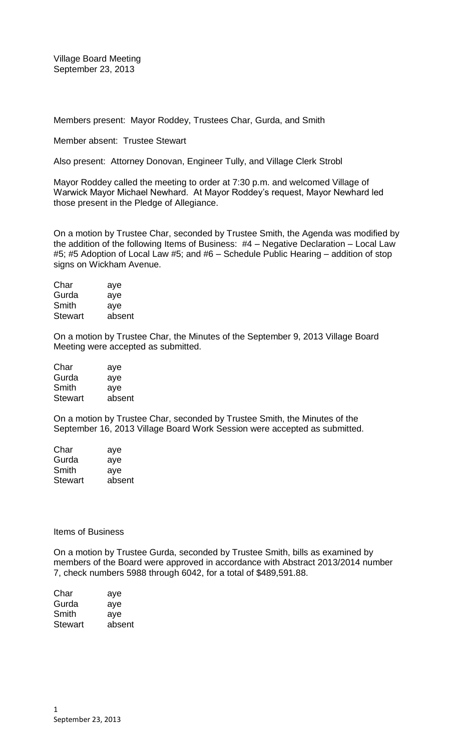Village Board Meeting September 23, 2013

Members present: Mayor Roddey, Trustees Char, Gurda, and Smith

Member absent: Trustee Stewart

Also present: Attorney Donovan, Engineer Tully, and Village Clerk Strobl

Mayor Roddey called the meeting to order at 7:30 p.m. and welcomed Village of Warwick Mayor Michael Newhard. At Mayor Roddey's request, Mayor Newhard led those present in the Pledge of Allegiance.

On a motion by Trustee Char, seconded by Trustee Smith, the Agenda was modified by the addition of the following Items of Business: #4 – Negative Declaration – Local Law #5; #5 Adoption of Local Law #5; and #6 – Schedule Public Hearing – addition of stop signs on Wickham Avenue.

| Char           | aye    |
|----------------|--------|
| Gurda          | aye    |
| Smith          | aye    |
| <b>Stewart</b> | absent |

On a motion by Trustee Char, the Minutes of the September 9, 2013 Village Board Meeting were accepted as submitted.

| Char           | aye    |
|----------------|--------|
| Gurda          | aye    |
| Smith          | aye    |
| <b>Stewart</b> | absent |
|                |        |

On a motion by Trustee Char, seconded by Trustee Smith, the Minutes of the September 16, 2013 Village Board Work Session were accepted as submitted.

| Char           | aye    |
|----------------|--------|
| Gurda          | aye    |
| Smith          | aye    |
| <b>Stewart</b> | absent |

## Items of Business

On a motion by Trustee Gurda, seconded by Trustee Smith, bills as examined by members of the Board were approved in accordance with Abstract 2013/2014 number 7, check numbers 5988 through 6042, for a total of \$489,591.88.

| aye    |
|--------|
| aye    |
| ave    |
| absent |
|        |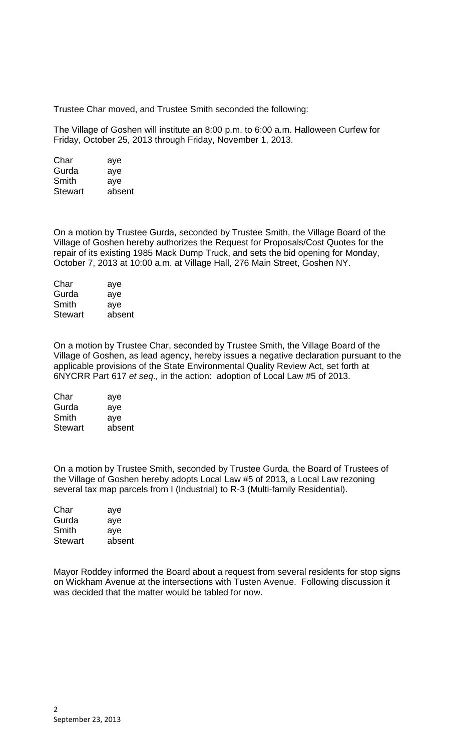Trustee Char moved, and Trustee Smith seconded the following:

The Village of Goshen will institute an 8:00 p.m. to 6:00 a.m. Halloween Curfew for Friday, October 25, 2013 through Friday, November 1, 2013.

| Char           | aye    |
|----------------|--------|
| Gurda          | aye    |
| Smith          | aye    |
| <b>Stewart</b> | absent |

On a motion by Trustee Gurda, seconded by Trustee Smith, the Village Board of the Village of Goshen hereby authorizes the Request for Proposals/Cost Quotes for the repair of its existing 1985 Mack Dump Truck, and sets the bid opening for Monday, October 7, 2013 at 10:00 a.m. at Village Hall, 276 Main Street, Goshen NY.

| Char           | aye    |
|----------------|--------|
| Gurda          | aye    |
| Smith          | aye    |
| <b>Stewart</b> | absent |

On a motion by Trustee Char, seconded by Trustee Smith, the Village Board of the Village of Goshen, as lead agency, hereby issues a negative declaration pursuant to the applicable provisions of the State Environmental Quality Review Act, set forth at 6NYCRR Part 617 *et seq.,* in the action: adoption of Local Law #5 of 2013.

| Char           | aye    |
|----------------|--------|
| Gurda          | aye    |
| Smith          | aye    |
| <b>Stewart</b> | absent |

On a motion by Trustee Smith, seconded by Trustee Gurda, the Board of Trustees of the Village of Goshen hereby adopts Local Law #5 of 2013, a Local Law rezoning several tax map parcels from I (Industrial) to R-3 (Multi-family Residential).

| Char           | aye    |
|----------------|--------|
| Gurda          | aye    |
| Smith          | aye    |
| <b>Stewart</b> | absent |
|                |        |

Mayor Roddey informed the Board about a request from several residents for stop signs on Wickham Avenue at the intersections with Tusten Avenue. Following discussion it was decided that the matter would be tabled for now.